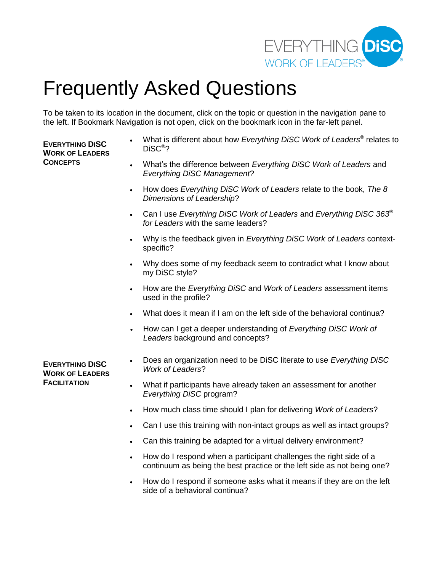

# Frequently Asked Questions

To be taken to its location in the document, click on the topic or question in the navigation pane to the left. If Bookmark Navigation is not open, click on the bookmark icon in the far-left panel.

# **EVERYTHING DISC WORK OF LEADERS CONCEPTS**

- What is different about how *Everything DiSC Work of Leaders®* relates to DiSC® ?
- What's the difference between *Everything DiSC Work of Leaders* and *Everything DiSC Management*?
- How does *Everything DiSC Work of Leaders* relate to the book, *The 8 Dimensions of Leadership*?
- Can I use *Everything DiSC Work of Leaders* and *Everything DiSC 363® for Leaders* with the same leaders?
- Why is the feedback given in *Everything DiSC Work of Leaders* contextspecific?
- Why does some of my feedback seem to contradict what I know about my DiSC style?
- How are the *Everything DiSC* and *Work of Leaders* assessment items used in the profile?
- What does it mean if I am on the left side of the behavioral continua?
- How can I get a deeper understanding of *Everything DiSC Work of Leaders* background and concepts?

**EVERYTHING DISC WORK OF LEADERS FACILITATION** 

- Does an organization need to be DiSC literate to use *Everything DiSC Work of Leaders*?
- What if participants have already taken an assessment for another *Everything DiSC* program?
- How much class time should I plan for delivering *Work of Leaders*?
- Can I use this training with non-intact groups as well as intact groups?
- Can this training be adapted for a virtual delivery environment?
- How do I respond when a participant challenges the right side of a continuum as being the best practice or the left side as not being one?
- How do I respond if someone asks what it means if they are on the left side of a behavioral continua?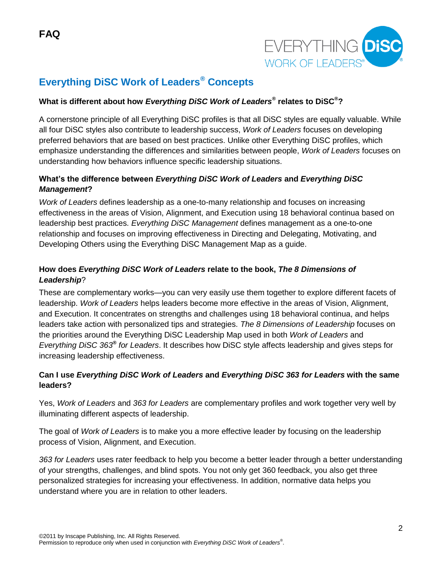

# **Everything DiSC Work of Leaders® Concepts**

# **What is different about how** *Everything DiSC Work of Leaders®* **relates to DiSC®?**

A cornerstone principle of all Everything DiSC profiles is that all DiSC styles are equally valuable. While all four DiSC styles also contribute to leadership success, *Work of Leaders* focuses on developing preferred behaviors that are based on best practices. Unlike other Everything DiSC profiles, which emphasize understanding the differences and similarities between people, *Work of Leaders* focuses on understanding how behaviors influence specific leadership situations.

# **What's the difference between** *Everything DiSC Work of Leaders* **and** *Everything DiSC Management***?**

*Work of Leaders* defines leadership as a one-to-many relationship and focuses on increasing effectiveness in the areas of Vision, Alignment, and Execution using 18 behavioral continua based on leadership best practices. *Everything DiSC Management* defines management as a one-to-one relationship and focuses on improving effectiveness in Directing and Delegating, Motivating, and Developing Others using the Everything DiSC Management Map as a guide.

# **How does** *Everything DiSC Work of Leaders* **relate to the book,** *The 8 Dimensions of Leadership*?

These are complementary works—you can very easily use them together to explore different facets of leadership. *Work of Leaders* helps leaders become more effective in the areas of Vision, Alignment, and Execution. It concentrates on strengths and challenges using 18 behavioral continua, and helps leaders take action with personalized tips and strategies. *The 8 Dimensions of Leadership* focuses on the priorities around the Everything DiSC Leadership Map used in both *Work of Leaders* and *Everything DiSC 363® for Leaders*. It describes how DiSC style affects leadership and gives steps for increasing leadership effectiveness.

# **Can I use** *Everything DiSC Work of Leaders* **and** *Everything DiSC 363 for Leaders* **with the same leaders?**

Yes, *Work of Leaders* and *363 for Leaders* are complementary profiles and work together very well by illuminating different aspects of leadership.

The goal of *Work of Leaders* is to make you a more effective leader by focusing on the leadership process of Vision, Alignment, and Execution.

*363 for Leaders* uses rater feedback to help you become a better leader through a better understanding of your strengths, challenges, and blind spots. You not only get 360 feedback, you also get three personalized strategies for increasing your effectiveness. In addition, normative data helps you understand where you are in relation to other leaders.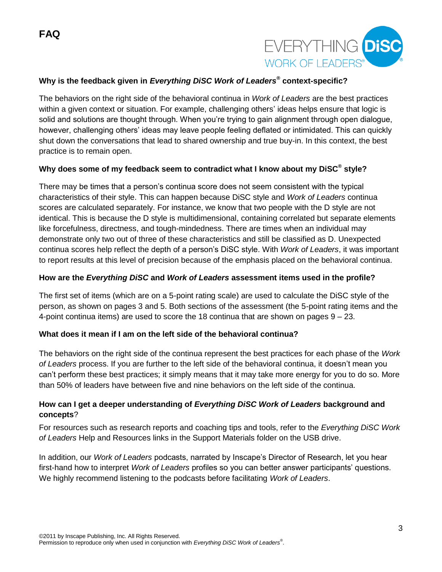

### **Why is the feedback given in** *Everything DiSC Work of Leaders®* **context-specific?**

The behaviors on the right side of the behavioral continua in *Work of Leaders* are the best practices within a given context or situation. For example, challenging others' ideas helps ensure that logic is solid and solutions are thought through. When you're trying to gain alignment through open dialogue, however, challenging others' ideas may leave people feeling deflated or intimidated. This can quickly shut down the conversations that lead to shared ownership and true buy-in. In this context, the best practice is to remain open.

#### **Why does some of my feedback seem to contradict what I know about my DiSC® style?**

There may be times that a person's continua score does not seem consistent with the typical characteristics of their style. This can happen because DiSC style and *Work of Leaders* continua scores are calculated separately. For instance, we know that two people with the D style are not identical. This is because the D style is multidimensional, containing correlated but separate elements like forcefulness, directness, and tough-mindedness. There are times when an individual may demonstrate only two out of three of these characteristics and still be classified as D. Unexpected continua scores help reflect the depth of a person's DiSC style. With *Work of Leaders*, it was important to report results at this level of precision because of the emphasis placed on the behavioral continua.

#### **How are the** *Everything DiSC* **and** *Work of Leaders* **assessment items used in the profile?**

The first set of items (which are on a 5-point rating scale) are used to calculate the DiSC style of the person, as shown on pages 3 and 5. Both sections of the assessment (the 5-point rating items and the 4-point continua items) are used to score the 18 continua that are shown on pages 9 – 23.

#### **What does it mean if I am on the left side of the behavioral continua?**

The behaviors on the right side of the continua represent the best practices for each phase of the *Work of Leaders* process. If you are further to the left side of the behavioral continua, it doesn't mean you can't perform these best practices; it simply means that it may take more energy for you to do so. More than 50% of leaders have between five and nine behaviors on the left side of the continua.

#### **How can I get a deeper understanding of** *Everything DiSC Work of Leaders* **background and concepts**?

For resources such as research reports and coaching tips and tools, refer to the *Everything DiSC Work of Leaders* Help and Resources links in the Support Materials folder on the USB drive.

In addition, our *Work of Leaders* podcasts, narrated by Inscape's Director of Research, let you hear first-hand how to interpret *Work of Leaders* profiles so you can better answer participants' questions. We highly recommend listening to the podcasts before facilitating *Work of Leaders*.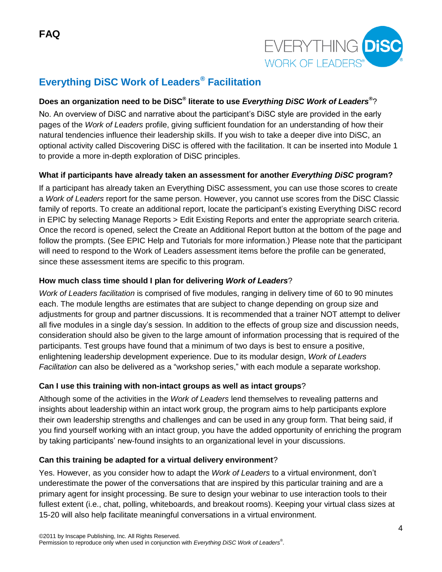

# **Everything DiSC Work of Leaders® Facilitation**

# **Does an organization need to be DiSC® literate to use** *Everything DiSC Work of Leaders®* ?

No. An overview of DiSC and narrative about the participant's DiSC style are provided in the early pages of the *Work of Leaders* profile, giving sufficient foundation for an understanding of how their natural tendencies influence their leadership skills. If you wish to take a deeper dive into DiSC, an optional activity called Discovering DiSC is offered with the facilitation. It can be inserted into Module 1 to provide a more in-depth exploration of DiSC principles.

# **What if participants have already taken an assessment for another** *Everything DiSC* **program?**

If a participant has already taken an Everything DiSC assessment, you can use those scores to create a *Work of Leaders* report for the same person. However, you cannot use scores from the DiSC Classic family of reports. To create an additional report, locate the participant's existing Everything DiSC record in EPIC by selecting Manage Reports > Edit Existing Reports and enter the appropriate search criteria. Once the record is opened, select the Create an Additional Report button at the bottom of the page and follow the prompts. (See EPIC Help and Tutorials for more information.) Please note that the participant will need to respond to the Work of Leaders assessment items before the profile can be generated, since these assessment items are specific to this program.

# **How much class time should I plan for delivering** *Work of Leaders*?

*Work of Leaders facilitation* is comprised of five modules, ranging in delivery time of 60 to 90 minutes each. The module lengths are estimates that are subject to change depending on group size and adjustments for group and partner discussions. It is recommended that a trainer NOT attempt to deliver all five modules in a single day's session. In addition to the effects of group size and discussion needs, consideration should also be given to the large amount of information processing that is required of the participants. Test groups have found that a minimum of two days is best to ensure a positive, enlightening leadership development experience. Due to its modular design, *Work of Leaders*  Facilitation can also be delivered as a "workshop series," with each module a separate workshop.

# **Can I use this training with non-intact groups as well as intact groups**?

Although some of the activities in the *Work of Leaders* lend themselves to revealing patterns and insights about leadership within an intact work group, the program aims to help participants explore their own leadership strengths and challenges and can be used in any group form. That being said, if you find yourself working with an intact group, you have the added opportunity of enriching the program by taking participants' new-found insights to an organizational level in your discussions.

# **Can this training be adapted for a virtual delivery environment**?

Yes. However, as you consider how to adapt the *Work of Leaders* to a virtual environment, don't underestimate the power of the conversations that are inspired by this particular training and are a primary agent for insight processing. Be sure to design your webinar to use interaction tools to their fullest extent (i.e., chat, polling, whiteboards, and breakout rooms). Keeping your virtual class sizes at 15-20 will also help facilitate meaningful conversations in a virtual environment.